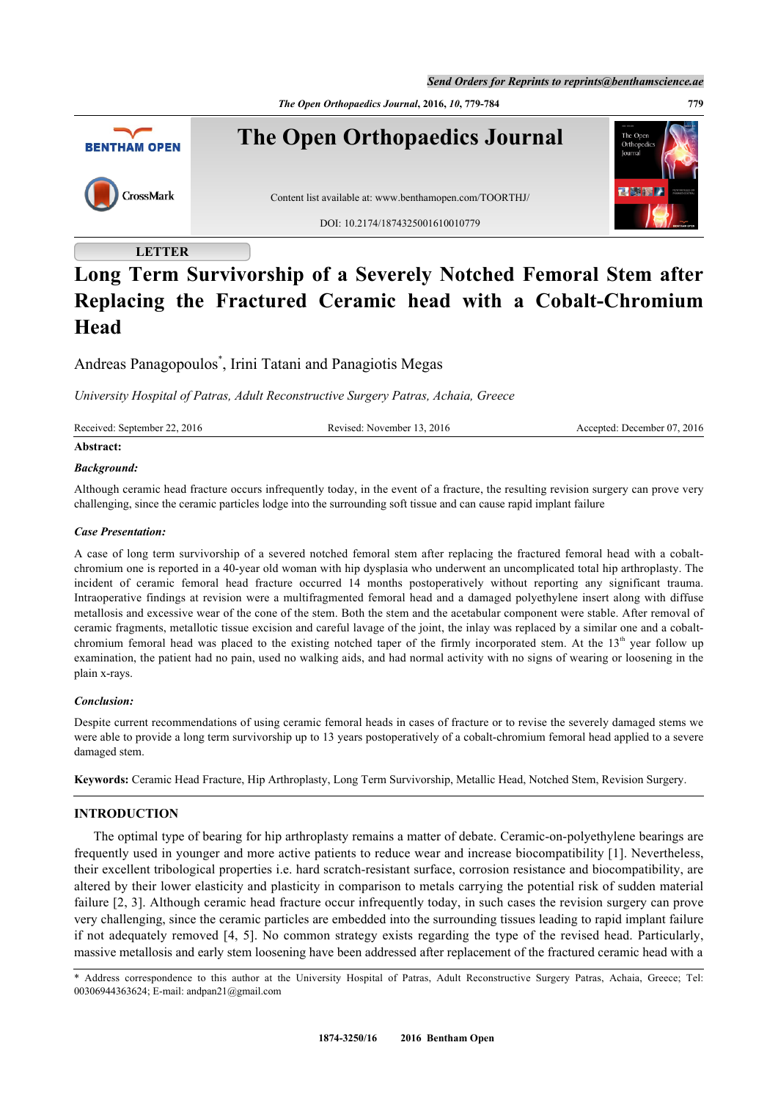*Send Orders for Reprints to reprints@benthamscience.ae*

*The Open Orthopaedics Journal***, 2016,** *10***, 779-784 779**



# **LETTER**

# **Long Term Survivorship of a Severely Notched Femoral Stem after Replacing the Fractured Ceramic head with a Cobalt-Chromium Head**

Andreas Panagopoulos[\\*](#page-0-0) , Irini Tatani and Panagiotis Megas

*University Hospital of Patras, Adult Reconstructive Surgery Patras, Achaia, Greece*

Received: September 22, 2016 Revised: November 13, 2016 Accepted: December 07, 2016

## **Abstract:**

## *Background:*

Although ceramic head fracture occurs infrequently today, in the event of a fracture, the resulting revision surgery can prove very challenging, since the ceramic particles lodge into the surrounding soft tissue and can cause rapid implant failure

#### *Case Presentation:*

A case of long term survivorship of a severed notched femoral stem after replacing the fractured femoral head with a cobaltchromium one is reported in a 40-year old woman with hip dysplasia who underwent an uncomplicated total hip arthroplasty. The incident of ceramic femoral head fracture occurred 14 months postoperatively without reporting any significant trauma. Intraoperative findings at revision were a multifragmented femoral head and a damaged polyethylene insert along with diffuse metallosis and excessive wear of the cone of the stem. Both the stem and the acetabular component were stable. After removal of ceramic fragments, metallotic tissue excision and careful lavage of the joint, the inlay was replaced by a similar one and a cobaltchromium femoral head was placed to the existing notched taper of the firmly incorporated stem. At the  $13<sup>th</sup>$  year follow up examination, the patient had no pain, used no walking aids, and had normal activity with no signs of wearing or loosening in the plain x-rays.

## *Conclusion:*

Despite current recommendations of using ceramic femoral heads in cases of fracture or to revise the severely damaged stems we were able to provide a long term survivorship up to 13 years postoperatively of a cobalt-chromium femoral head applied to a severe damaged stem.

**Keywords:** Ceramic Head Fracture, Hip Arthroplasty, Long Term Survivorship, Metallic Head, Notched Stem, Revision Surgery.

## **INTRODUCTION**

The optimal type of bearing for hip arthroplasty remains a matter of debate. Ceramic-on-polyethylene bearings are frequently used in younger and more active patients to reduce wear and increase biocompatibility [[1](#page-4-0)]. Nevertheless, their excellent tribological properties i.e. hard scratch-resistant surface, corrosion resistance and biocompatibility, are altered by their lower elasticity and plasticity in comparison to metals carrying the potential risk of sudden material failure [[2](#page-4-1), [3\]](#page-4-2). Although ceramic head fracture occur infrequently today, in such cases the revision surgery can prove very challenging, since the ceramic particles are embedded into the surrounding tissues leading to rapid implant failure if not adequately removed [[4,](#page-4-3) [5](#page-4-4)]. No common strategy exists regarding the type of the revised head. Particularly, massive metallosis and early stem loosening have been addressed after replacement of the fractured ceramic head with a

<span id="page-0-0"></span>\* Address correspondence to this author at the University Hospital of Patras, Adult Reconstructive Surgery Patras, Achaia, Greece; Tel: 00306944363624; E-mail: [andpan21@gmail.com](mailto:andpan21@gmail.com)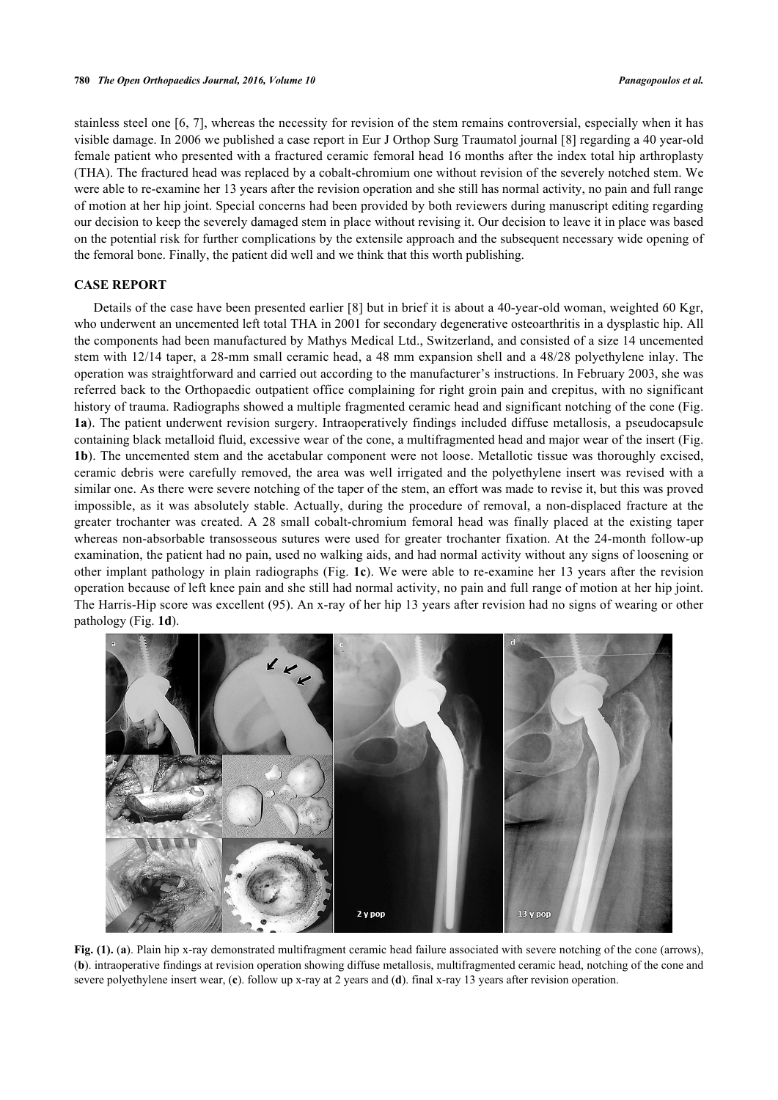stainless steel one [[6](#page-4-5), [7\]](#page-4-6), whereas the necessity for revision of the stem remains controversial, especially when it has visible damage. In 2006 we published a case report in Eur J Orthop Surg Traumatol journal [[8\]](#page-4-7) regarding a 40 year-old female patient who presented with a fractured ceramic femoral head 16 months after the index total hip arthroplasty (THA). The fractured head was replaced by a cobalt-chromium one without revision of the severely notched stem. We were able to re-examine her 13 years after the revision operation and she still has normal activity, no pain and full range of motion at her hip joint. Special concerns had been provided by both reviewers during manuscript editing regarding our decision to keep the severely damaged stem in place without revising it. Our decision to leave it in place was based on the potential risk for further complications by the extensile approach and the subsequent necessary wide opening of the femoral bone. Finally, the patient did well and we think that this worth publishing.

## **CASE REPORT**

Details of the case have been presented earlier [\[8\]](#page-4-7) but in brief it is about a 40-year-old woman, weighted 60 Kgr, who underwent an uncemented left total THA in 2001 for secondary degenerative osteoarthritis in a dysplastic hip. All the components had been manufactured by Mathys Medical Ltd., Switzerland, and consisted of a size 14 uncemented stem with 12/14 taper, a 28-mm small ceramic head, a 48 mm expansion shell and a 48/28 polyethylene inlay. The operation was straightforward and carried out according to the manufacturer's instructions. In February 2003, she was referred back to the Orthopaedic outpatient office complaining for right groin pain and crepitus, with no significant history of trauma. Radiographs showed a multiple fragmented ceramic head and significant notching of the cone (Fig. **[1a](#page-1-0)**). The patient underwent revision surgery. Intraoperatively findings included diffuse metallosis, a pseudocapsule containing black metalloid fluid, excessive wear of the cone, a multifragmented head and major wear of the insert (Fig. **[1b](#page-1-0)**). The uncemented stem and the acetabular component were not loose. Metallotic tissue was thoroughly excised, ceramic debris were carefully removed, the area was well irrigated and the polyethylene insert was revised with a similar one. As there were severe notching of the taper of the stem, an effort was made to revise it, but this was proved impossible, as it was absolutely stable. Actually, during the procedure of removal, a non-displaced fracture at the greater trochanter was created. A 28 small cobalt-chromium femoral head was finally placed at the existing taper whereas non-absorbable transosseous sutures were used for greater trochanter fixation. At the 24-month follow-up examination, the patient had no pain, used no walking aids, and had normal activity without any signs of loosening or other implant pathology in plain radiographs (Fig. **[1c](#page-1-0)**). We were able to re-examine her 13 years after the revision operation because of left knee pain and she still had normal activity, no pain and full range of motion at her hip joint. The Harris-Hip score was excellent (95). An x-ray of her hip 13 years after revision had no signs of wearing or other pathology (Fig. **[1d](#page-1-0)**).

<span id="page-1-0"></span>

**Fig. (1).** (a). Plain hip x-ray demonstrated multifragment ceramic head failure associated with severe notching of the cone (arrows), (**b**). intraoperative findings at revision operation showing diffuse metallosis, multifragmented ceramic head, notching of the cone and severe polyethylene insert wear, (**c**). follow up x-ray at 2 years and (**d**). final x-ray 13 years after revision operation.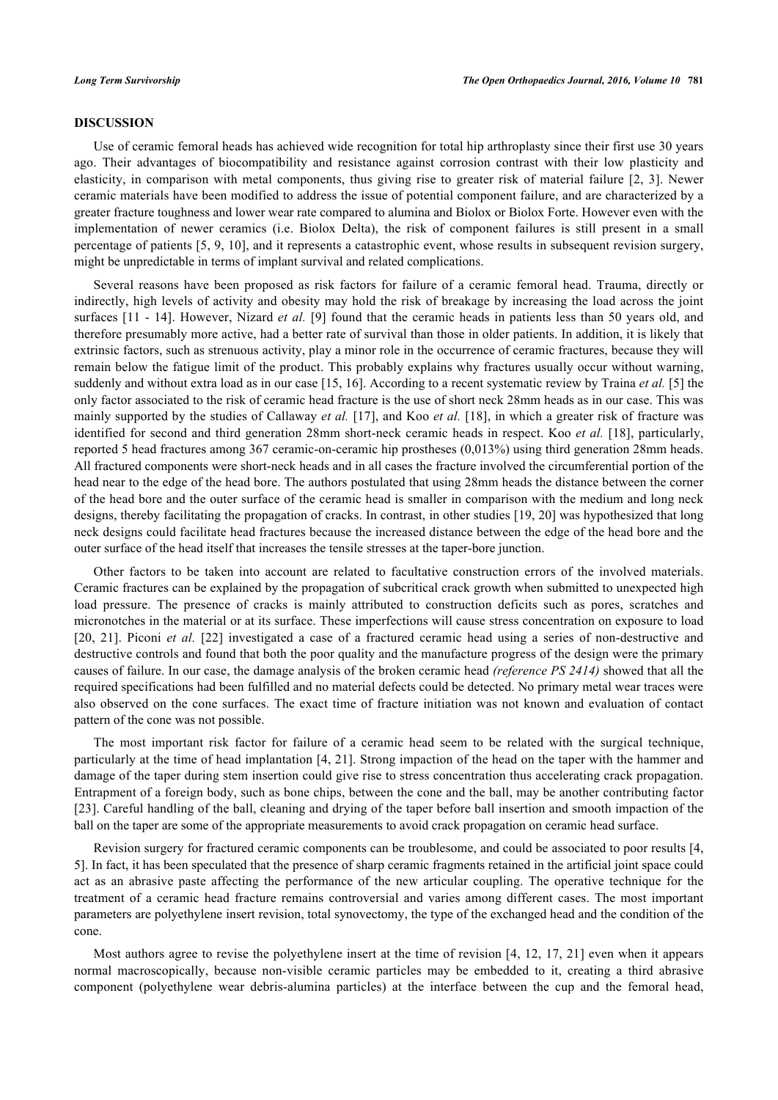#### **DISCUSSION**

Use of ceramic femoral heads has achieved wide recognition for total hip arthroplasty since their first use 30 years ago. Their advantages of biocompatibility and resistance against corrosion contrast with their low plasticity and elasticity, in comparison with metal components, thus giving rise to greater risk of material failure[[2](#page-4-1), [3\]](#page-4-2). Newer ceramic materials have been modified to address the issue of potential component failure, and are characterized by a greater fracture toughness and lower wear rate compared to alumina and Biolox or Biolox Forte. However even with the implementation of newer ceramics (i.e. Biolox Delta), the risk of component failures is still present in a small percentage of patients [\[5,](#page-4-4) [9](#page-4-8), [10\]](#page-4-9), and it represents a catastrophic event, whose results in subsequent revision surgery, might be unpredictable in terms of implant survival and related complications.

Several reasons have been proposed as risk factors for failure of a ceramic femoral head. Trauma, directly or indirectly, high levels of activity and obesity may hold the risk of breakage by increasing the load across the joint surfaces [\[11](#page-4-10) - [14](#page-4-11)]. However, Nizard *et al.* [\[9](#page-4-8)] found that the ceramic heads in patients less than 50 years old, and therefore presumably more active, had a better rate of survival than those in older patients. In addition, it is likely that extrinsic factors, such as strenuous activity, play a minor role in the occurrence of ceramic fractures, because they will remain below the fatigue limit of the product. This probably explains why fractures usually occur without warning, suddenly and without extra load as in our case [\[15](#page-4-12), [16\]](#page-4-13). According to a recent systematic review by Traina *et al.* [\[5](#page-4-4)] the only factor associated to the risk of ceramic head fracture is the use of short neck 28mm heads as in our case. This was mainly supported by the studies of Callaway *et al.* [[17\]](#page-4-14), and Koo *et al.* [\[18\]](#page-4-15), in which a greater risk of fracture was identified for second and third generation 28mm short-neck ceramic heads in respect. Koo *et al.* [[18](#page-4-15)], particularly, reported 5 head fractures among 367 ceramic-on-ceramic hip prostheses (0,013%) using third generation 28mm heads. All fractured components were short-neck heads and in all cases the fracture involved the circumferential portion of the head near to the edge of the head bore. The authors postulated that using 28mm heads the distance between the corner of the head bore and the outer surface of the ceramic head is smaller in comparison with the medium and long neck designs, thereby facilitating the propagation of cracks. In contrast, in other studies [[19,](#page-4-16) [20](#page-5-0)] was hypothesized that long neck designs could facilitate head fractures because the increased distance between the edge of the head bore and the outer surface of the head itself that increases the tensile stresses at the taper-bore junction.

Other factors to be taken into account are related to facultative construction errors of the involved materials. Ceramic fractures can be explained by the propagation of subcritical crack growth when submitted to unexpected high load pressure. The presence of cracks is mainly attributed to construction deficits such as pores, scratches and micronotches in the material or at its surface. These imperfections will cause stress concentration on exposure to load [\[20](#page-5-0), [21](#page-5-1)]. Piconi *et al.* [\[22](#page-5-2)] investigated a case of a fractured ceramic head using a series of non-destructive and destructive controls and found that both the poor quality and the manufacture progress of the design were the primary causes of failure. In our case, the damage analysis of the broken ceramic head *(reference PS 2414)* showed that all the required specifications had been fulfilled and no material defects could be detected. No primary metal wear traces were also observed on the cone surfaces. The exact time of fracture initiation was not known and evaluation of contact pattern of the cone was not possible.

The most important risk factor for failure of a ceramic head seem to be related with the surgical technique, particularly at the time of head implantation [[4,](#page-4-3) [21\]](#page-5-1). Strong impaction of the head on the taper with the hammer and damage of the taper during stem insertion could give rise to stress concentration thus accelerating crack propagation. Entrapment of a foreign body, such as bone chips, between the cone and the ball, may be another contributing factor [\[23](#page-5-3)]. Careful handling of the ball, cleaning and drying of the taper before ball insertion and smooth impaction of the ball on the taper are some of the appropriate measurements to avoid crack propagation on ceramic head surface.

Revision surgery for fractured ceramic components can be troublesome, and could be associated to poor results [[4](#page-4-3), [5\]](#page-4-4). In fact, it has been speculated that the presence of sharp ceramic fragments retained in the artificial joint space could act as an abrasive paste affecting the performance of the new articular coupling. The operative technique for the treatment of a ceramic head fracture remains controversial and varies among different cases. The most important parameters are polyethylene insert revision, total synovectomy, the type of the exchanged head and the condition of the cone.

Most authors agree to revise the polyethylene insert at the time of revision [[4,](#page-4-3) [12,](#page-4-17) [17,](#page-4-14) [21\]](#page-5-1) even when it appears normal macroscopically, because non-visible ceramic particles may be embedded to it, creating a third abrasive component (polyethylene wear debris-alumina particles) at the interface between the cup and the femoral head,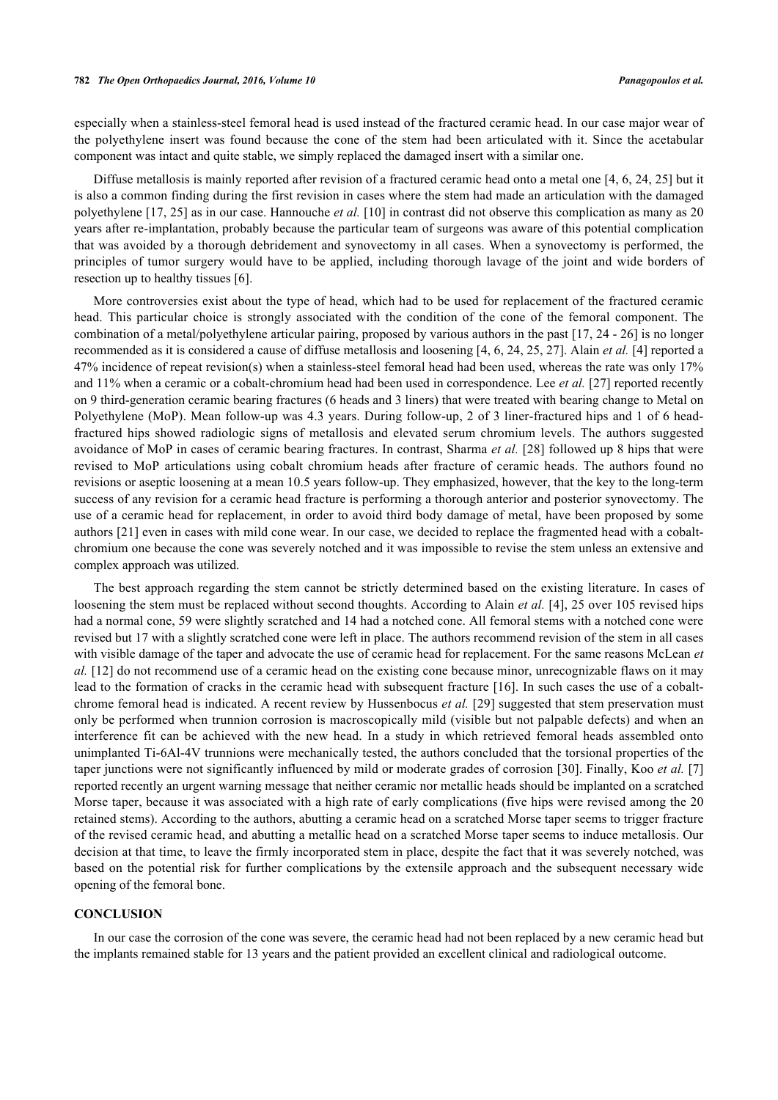especially when a stainless-steel femoral head is used instead of the fractured ceramic head. In our case major wear of the polyethylene insert was found because the cone of the stem had been articulated with it. Since the acetabular component was intact and quite stable, we simply replaced the damaged insert with a similar one.

Diffuse metallosis is mainly reported after revision of a fractured ceramic head onto a metal one [[4](#page-4-3), [6](#page-4-5), [24](#page-5-4), [25\]](#page-5-5) but it is also a common finding during the first revision in cases where the stem had made an articulation with the damaged polyethylene [[17](#page-4-14), [25](#page-5-5)] as in our case. Hannouche *et al.* [[10\]](#page-4-9) in contrast did not observe this complication as many as 20 years after re-implantation, probably because the particular team of surgeons was aware of this potential complication that was avoided by a thorough debridement and synovectomy in all cases. When a synovectomy is performed, the principles of tumor surgery would have to be applied, including thorough lavage of the joint and wide borders of resection up to healthy tissues [[6\]](#page-4-5).

More controversies exist about the type of head, which had to be used for replacement of the fractured ceramic head. This particular choice is strongly associated with the condition of the cone of the femoral component. The combination of a metal/polyethylene articular pairing, proposed by various authors in the past [\[17](#page-4-14), [24](#page-5-4) - [26\]](#page-5-6) is no longer recommended as it is considered a cause of diffuse metallosis and loosening [[4](#page-4-3), [6](#page-4-5), [24](#page-5-4), [25](#page-5-5), [27](#page-5-7)]. Alain *et al.* [\[4](#page-4-3)] reported a 47% incidence of repeat revision(s) when a stainless-steel femoral head had been used, whereas the rate was only 17% and 11% when a ceramic or a cobalt-chromium head had been used in correspondence. Lee *et al.* [\[27](#page-5-7)] reported recently on 9 third-generation ceramic bearing fractures (6 heads and 3 liners) that were treated with bearing change to Metal on Polyethylene (MoP). Mean follow-up was 4.3 years. During follow-up, 2 of 3 liner-fractured hips and 1 of 6 headfractured hips showed radiologic signs of metallosis and elevated serum chromium levels. The authors suggested avoidance of MoP in cases of ceramic bearing fractures. In contrast, Sharma *et al.* [\[28\]](#page-5-8) followed up 8 hips that were revised to MoP articulations using cobalt chromium heads after fracture of ceramic heads. The authors found no revisions or aseptic loosening at a mean 10.5 years follow-up. They emphasized, however, that the key to the long-term success of any revision for a ceramic head fracture is performing a thorough anterior and posterior synovectomy. The use of a ceramic head for replacement, in order to avoid third body damage of metal, have been proposed by some authors [[21\]](#page-5-1) even in cases with mild cone wear. In our case, we decided to replace the fragmented head with a cobaltchromium one because the cone was severely notched and it was impossible to revise the stem unless an extensive and complex approach was utilized.

The best approach regarding the stem cannot be strictly determined based on the existing literature. In cases of loosening the stem must be replaced without second thoughts. According to Alain *et al.* [\[4\]](#page-4-3), 25 over 105 revised hips had a normal cone, 59 were slightly scratched and 14 had a notched cone. All femoral stems with a notched cone were revised but 17 with a slightly scratched cone were left in place. The authors recommend revision of the stem in all cases with visible damage of the taper and advocate the use of ceramic head for replacement. For the same reasons McLean *et al.* [\[12\]](#page-4-17) do not recommend use of a ceramic head on the existing cone because minor, unrecognizable flaws on it may lead to the formation of cracks in the ceramic head with subsequent fracture [[16](#page-4-13)]. In such cases the use of a cobaltchrome femoral head is indicated. A recent review by Hussenbocus *et al.* [\[29](#page-5-9)] suggested that stem preservation must only be performed when trunnion corrosion is macroscopically mild (visible but not palpable defects) and when an interference fit can be achieved with the new head. In a study in which retrieved femoral heads assembled onto unimplanted Ti-6Al-4V trunnions were mechanically tested, the authors concluded that the torsional properties of the taper junctions were not significantly influenced by mild or moderate grades of corrosion [[30\]](#page-5-10). Finally, Koo *et al.* [\[7](#page-4-6)] reported recently an urgent warning message that neither ceramic nor metallic heads should be implanted on a scratched Morse taper, because it was associated with a high rate of early complications (five hips were revised among the 20 retained stems). According to the authors, abutting a ceramic head on a scratched Morse taper seems to trigger fracture of the revised ceramic head, and abutting a metallic head on a scratched Morse taper seems to induce metallosis. Our decision at that time, to leave the firmly incorporated stem in place, despite the fact that it was severely notched, was based on the potential risk for further complications by the extensile approach and the subsequent necessary wide opening of the femoral bone.

#### **CONCLUSION**

In our case the corrosion of the cone was severe, the ceramic head had not been replaced by a new ceramic head but the implants remained stable for 13 years and the patient provided an excellent clinical and radiological outcome.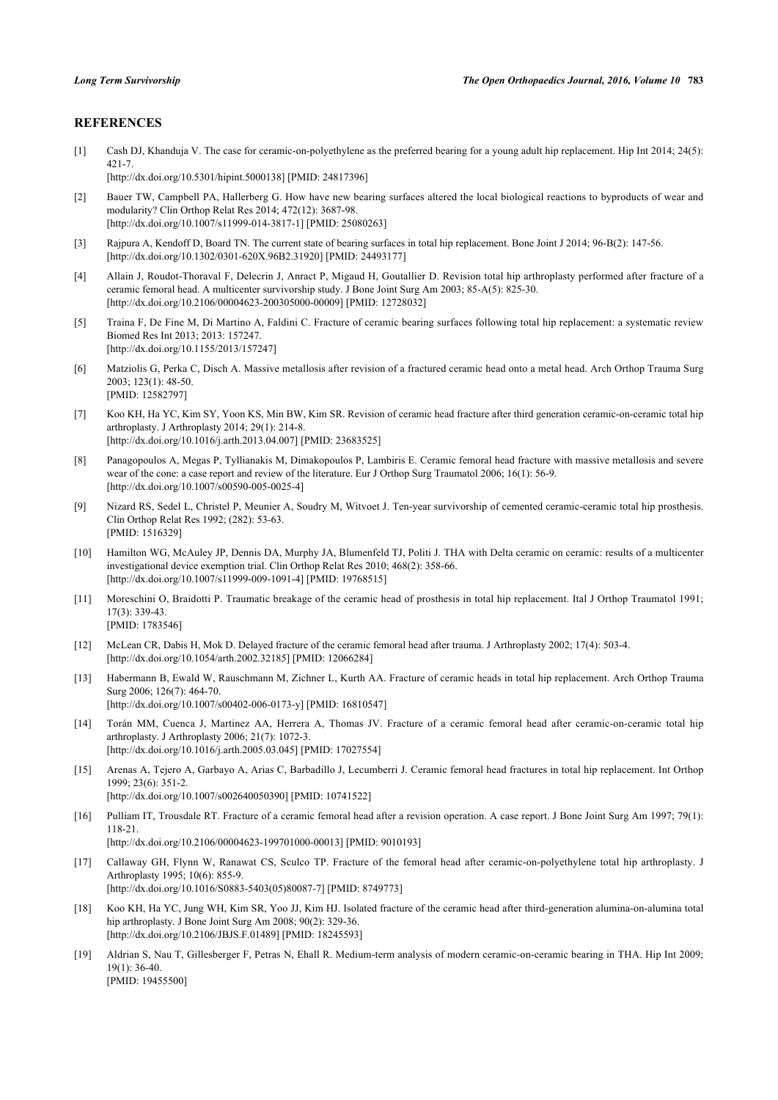#### **REFERENCES**

<span id="page-4-0"></span>[1] Cash DJ, Khanduja V. The case for ceramic-on-polyethylene as the preferred bearing for a young adult hip replacement. Hip Int 2014; 24(5): 421-7.

[\[http://dx.doi.org/10.5301/hipint.5000138](http://dx.doi.org/10.5301/hipint.5000138)] [PMID: [24817396](http://www.ncbi.nlm.nih.gov/pubmed/24817396)]

- <span id="page-4-1"></span>[2] Bauer TW, Campbell PA, Hallerberg G. How have new bearing surfaces altered the local biological reactions to byproducts of wear and modularity? Clin Orthop Relat Res 2014; 472(12): 3687-98. [\[http://dx.doi.org/10.1007/s11999-014-3817-1\]](http://dx.doi.org/10.1007/s11999-014-3817-1) [PMID: [25080263](http://www.ncbi.nlm.nih.gov/pubmed/25080263)]
- <span id="page-4-2"></span>[3] Rajpura A, Kendoff D, Board TN. The current state of bearing surfaces in total hip replacement. Bone Joint J 2014; 96-B(2): 147-56. [\[http://dx.doi.org/10.1302/0301-620X.96B2.31920\]](http://dx.doi.org/10.1302/0301-620X.96B2.31920) [PMID: [24493177](http://www.ncbi.nlm.nih.gov/pubmed/24493177)]
- <span id="page-4-3"></span>[4] Allain J, Roudot-Thoraval F, Delecrin J, Anract P, Migaud H, Goutallier D. Revision total hip arthroplasty performed after fracture of a ceramic femoral head. A multicenter survivorship study. J Bone Joint Surg Am 2003; 85-A(5): 825-30. [\[http://dx.doi.org/10.2106/00004623-200305000-00009](http://dx.doi.org/10.2106/00004623-200305000-00009)] [PMID: [12728032\]](http://www.ncbi.nlm.nih.gov/pubmed/12728032)
- <span id="page-4-4"></span>[5] Traina F, De Fine M, Di Martino A, Faldini C. Fracture of ceramic bearing surfaces following total hip replacement: a systematic review Biomed Res Int 2013; 2013: 157247. [\[http://dx.doi.org/10.1155/2013/157247](http://dx.doi.org/10.1155/2013/157247)]
- <span id="page-4-5"></span>[6] Matziolis G, Perka C, Disch A. Massive metallosis after revision of a fractured ceramic head onto a metal head. Arch Orthop Trauma Surg 2003; 123(1): 48-50. [PMID: [12582797\]](http://www.ncbi.nlm.nih.gov/pubmed/12582797)
- <span id="page-4-6"></span>[7] Koo KH, Ha YC, Kim SY, Yoon KS, Min BW, Kim SR. Revision of ceramic head fracture after third generation ceramic-on-ceramic total hip arthroplasty. J Arthroplasty 2014; 29(1): 214-8. [\[http://dx.doi.org/10.1016/j.arth.2013.04.007](http://dx.doi.org/10.1016/j.arth.2013.04.007)] [PMID: [23683525](http://www.ncbi.nlm.nih.gov/pubmed/23683525)]
- <span id="page-4-7"></span>[8] Panagopoulos A, Megas P, Tyllianakis M, Dimakopoulos P, Lambiris E. Ceramic femoral head fracture with massive metallosis and severe wear of the cone: a case report and review of the literature. Eur J Orthop Surg Traumatol 2006; 16(1): 56-9. [\[http://dx.doi.org/10.1007/s00590-005-0025-4\]](http://dx.doi.org/10.1007/s00590-005-0025-4)
- <span id="page-4-8"></span>[9] Nizard RS, Sedel L, Christel P, Meunier A, Soudry M, Witvoet J. Ten-year survivorship of cemented ceramic-ceramic total hip prosthesis. Clin Orthop Relat Res 1992; (282): 53-63. [PMID: [1516329\]](http://www.ncbi.nlm.nih.gov/pubmed/1516329)
- <span id="page-4-9"></span>[10] Hamilton WG, McAuley JP, Dennis DA, Murphy JA, Blumenfeld TJ, Politi J. THA with Delta ceramic on ceramic: results of a multicenter investigational device exemption trial. Clin Orthop Relat Res 2010; 468(2): 358-66. [\[http://dx.doi.org/10.1007/s11999-009-1091-4\]](http://dx.doi.org/10.1007/s11999-009-1091-4) [PMID: [19768515](http://www.ncbi.nlm.nih.gov/pubmed/19768515)]
- <span id="page-4-10"></span>[11] Moreschini O, Braidotti P. Traumatic breakage of the ceramic head of prosthesis in total hip replacement. Ital J Orthop Traumatol 1991; 17(3): 339-43. [PMID: [1783546\]](http://www.ncbi.nlm.nih.gov/pubmed/1783546)
- <span id="page-4-17"></span>[12] McLean CR, Dabis H, Mok D. Delayed fracture of the ceramic femoral head after trauma. J Arthroplasty 2002; 17(4): 503-4. [\[http://dx.doi.org/10.1054/arth.2002.32185](http://dx.doi.org/10.1054/arth.2002.32185)] [PMID: [12066284\]](http://www.ncbi.nlm.nih.gov/pubmed/12066284)
- [13] Habermann B, Ewald W, Rauschmann M, Zichner L, Kurth AA. Fracture of ceramic heads in total hip replacement. Arch Orthop Trauma Surg 2006; 126(7): 464-70. [\[http://dx.doi.org/10.1007/s00402-006-0173-y\]](http://dx.doi.org/10.1007/s00402-006-0173-y) [PMID: [16810547](http://www.ncbi.nlm.nih.gov/pubmed/16810547)]
- <span id="page-4-11"></span>[14] Torán MM, Cuenca J, Martinez AA, Herrera A, Thomas JV. Fracture of a ceramic femoral head after ceramic-on-ceramic total hip arthroplasty. J Arthroplasty 2006; 21(7): 1072-3. [\[http://dx.doi.org/10.1016/j.arth.2005.03.045](http://dx.doi.org/10.1016/j.arth.2005.03.045)] [PMID: [17027554](http://www.ncbi.nlm.nih.gov/pubmed/17027554)]
- <span id="page-4-12"></span>[15] Arenas A, Tejero A, Garbayo A, Arias C, Barbadillo J, Lecumberri J. Ceramic femoral head fractures in total hip replacement. Int Orthop 1999; 23(6): 351-2. [\[http://dx.doi.org/10.1007/s002640050390\]](http://dx.doi.org/10.1007/s002640050390) [PMID: [10741522](http://www.ncbi.nlm.nih.gov/pubmed/10741522)]
- <span id="page-4-13"></span>[16] Pulliam IT, Trousdale RT. Fracture of a ceramic femoral head after a revision operation. A case report. J Bone Joint Surg Am 1997; 79(1): 118-21. [\[http://dx.doi.org/10.2106/00004623-199701000-00013](http://dx.doi.org/10.2106/00004623-199701000-00013)] [PMID: [9010193\]](http://www.ncbi.nlm.nih.gov/pubmed/9010193)
- <span id="page-4-14"></span>[17] Callaway GH, Flynn W, Ranawat CS, Sculco TP. Fracture of the femoral head after ceramic-on-polyethylene total hip arthroplasty. J Arthroplasty 1995; 10(6): 855-9. [\[http://dx.doi.org/10.1016/S0883-5403\(05\)80087-7\]](http://dx.doi.org/10.1016/S0883-5403(05)80087-7) [PMID: [8749773](http://www.ncbi.nlm.nih.gov/pubmed/8749773)]
- <span id="page-4-15"></span>[18] Koo KH, Ha YC, Jung WH, Kim SR, Yoo JJ, Kim HJ. Isolated fracture of the ceramic head after third-generation alumina-on-alumina total hip arthroplasty. J Bone Joint Surg Am 2008; 90(2): 329-36. [\[http://dx.doi.org/10.2106/JBJS.F.01489](http://dx.doi.org/10.2106/JBJS.F.01489)] [PMID: [18245593\]](http://www.ncbi.nlm.nih.gov/pubmed/18245593)
- <span id="page-4-16"></span>[19] Aldrian S, Nau T, Gillesberger F, Petras N, Ehall R. Medium-term analysis of modern ceramic-on-ceramic bearing in THA. Hip Int 2009; 19(1): 36-40. [PMID: [19455500\]](http://www.ncbi.nlm.nih.gov/pubmed/19455500)